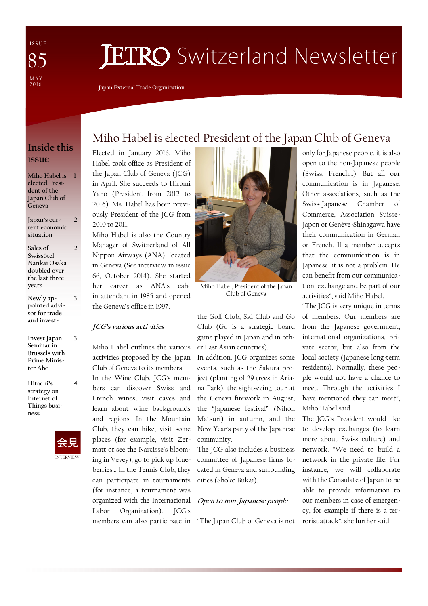I S S U E MAY<br>2016 85

# **JETRO** Switzerland Newsletter

**Japan External Trade Organization** 

### **Inside this issue**

**Miho Habel is 1 elected President of the Japan Club of Geneva** 

**Japan's current economic situation** 

 $\overline{\phantom{a}}$ 

 $\overline{2}$ 

**3** 

**4** 

**Sales of Swissôtel Nankai Osaka doubled over the last three years** 

- **Newly appointed advisor for trade and invest-**
- **Invest Japan Seminar in Brussels with Prime Minister Abe 3**

**Hitachi's strategy on Internet of Things business** 



# Miho Habel is elected President of the Japan Club of Geneva

Elected in January 2016, Miho Habel took office as President of the Japan Club of Geneva (JCG) in April. She succeeds to Hiromi Yano (President from 2012 to 2016). Ms. Habel has been previously President of the JCG from 2010 to 2011.

Miho Habel is also the Country Manager of Switzerland of All Nippon Airways (ANA), located in Geneva (See interview in issue 66, October 2014). She started her career as ANA's cabin attendant in 1985 and opened the Geneva's office in 1997.

#### **JCG's various activities**

Miho Habel outlines the various activities proposed by the Japan Club of Geneva to its members.

In the Wine Club, JCG's members can discover Swiss and French wines, visit caves and learn about wine backgrounds and regions. In the Mountain Club, they can hike, visit some places (for example, visit Zermatt or see the Narcisse's blooming in Vevey), go to pick up blueberries… In the Tennis Club, they can participate in tournaments (for instance, a tournament was organized with the International Labor Organization). JCG's members can also participate in



Miho Habel, President of the Japan Club of Geneva

the Golf Club, Ski Club and Go Club (Go is a strategic board game played in Japan and in other East Asian countries).

In addition, JCG organizes some events, such as the Sakura project (planting of 29 trees in Ariana Park), the sightseeing tour at the Geneva firework in August, the "Japanese festival" (Nihon Matsuri) in autumn, and the New Year's party of the Japanese community.

The JCG also includes a business committee of Japanese firms located in Geneva and surrounding cities (Shoko Bukai).

#### **Open to non-Japanese people**

"The Japan Club of Geneva is not

only for Japanese people, it is also open to the non-Japanese people (Swiss, French…). But all our communication is in Japanese. Other associations, such as the Swiss-Japanese Chamber of Commerce, Association Suisse-Japon or Genève-Shinagawa have their communication in German or French. If a member accepts that the communication is in Japanese, it is not a problem. He can benefit from our communication, exchange and be part of our activities", said Miho Habel.

"The JCG is very unique in terms of members. Our members are from the Japanese government, international organizations, private sector, but also from the local society (Japanese long-term residents). Normally, these people would not have a chance to meet. Through the activities I have mentioned they can meet", Miho Habel said.

The JCG's President would like to develop exchanges (to learn more about Swiss culture) and network. "We need to build a network in the private life. For instance, we will collaborate with the Consulate of Japan to be able to provide information to our members in case of emergency, for example if there is a terrorist attack", she further said.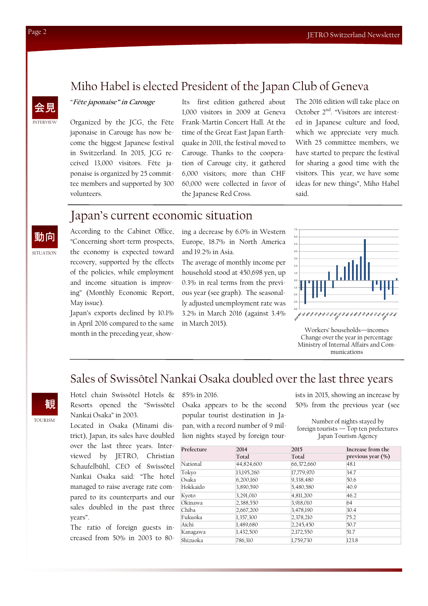### Miho Habel is elected President of the Japan Club of Geneva



**SITUATION** 

動向

"**Fête japonaise" in Carouge**

Organized by the JCG, the Fête japonaise in Carouge has now become the biggest Japanese festival in Switzerland. In 2015, JCG received 13,000 visitors. Fête japonaise is organized by 25 committee members and supported by 300 volunteers.

Its first edition gathered about 1,000 visitors in 2009 at Geneva Frank-Martin Concert Hall. At the time of the Great East Japan Earthquake in 2011, the festival moved to Carouge. Thanks to the cooperation of Carouge city, it gathered 6,000 visitors; more than CHF 60,000 were collected in favor of the Japanese Red Cross.

The 2016 edition will take place on October 2<sup>nd</sup>. "Visitors are interested in Japanese culture and food, which we appreciate very much. With 25 committee members, we have started to prepare the festival for sharing a good time with the visitors. This year, we have some ideas for new things", Miho Habel said.

### Japan's current economic situation

According to the Cabinet Office, "Concerning short-term prospects, the economy is expected toward recovery, supported by the effects of the policies, while employment and income situation is improving" (Monthly Economic Report, May issue).

Japan's exports declined by 10.1% in April 2016 compared to the same month in the preceding year, showing a decrease by 6.0% in Western Europe, 18.7% in North America and 19.2% in Asia.

The average of monthly income per household stood at 450,698 yen, up 0.3% in real terms from the previous year (see graph). The seasonally adjusted unemployment rate was 3.2% in March 2016 (against 3.4% in March 2015).



Workers' households—incomes Change over the year in percentage Ministry of Internal Affairs and Communications

# Sales of Swissôtel Nankai Osaka doubled over the last three years



Hotel chain Swissôtel Hotels & Resorts opened the "Swissôtel Nankai Osaka" in 2003.

Located in Osaka (Minami district), Japan, its sales have doubled over the last three years. Interviewed by JETRO, Christian Schaufelbühl, CEO of Swissôtel Nankai Osaka said: "The hotel managed to raise average rate compared to its counterparts and our sales doubled in the past three years".

The ratio of foreign guests increased from 50% in 2003 to 80-

#### 85% in 2016.

Osaka appears to be the second popular tourist destination in Japan, with a record number of 9 million nights stayed by foreign tourists in 2015, showing an increase by 50% from the previous year (see

Number of nights stayed by foreign tourists — Top ten prefectures Japan Tourism Agency

| Prefecture | 2014<br>Total | 2015<br>Total | Increase from the<br>previous year $(\% )$ |
|------------|---------------|---------------|--------------------------------------------|
|            |               |               |                                            |
| Tokyo      | 13,195,260    | 17,779,970    | 34.7                                       |
| Osaka      | 6,200,160     | 9,338,480     | 50.6                                       |
| Hokkaido   | 3,890,590     | 5,480,580     | 40.9                                       |
| Kyoto      | 3,291,010     | 4,811,200     | 46.2                                       |
| Okinawa    | 2,388,550     | 3,918,010     | 64                                         |
| Chiba      | 2,667,200     | 3,478,190     | 30.4                                       |
| Fukuoka    | 1,357,300     | 2,378,210     | 75.2                                       |
| Aichi      | 1,489,680     | 2,245,450     | 50.7                                       |
| Kanagawa   | 1,432,500     | 2,172,550     | 51.7                                       |
| Shizuoka   | 786,310       | 1,759,730     | 123.8                                      |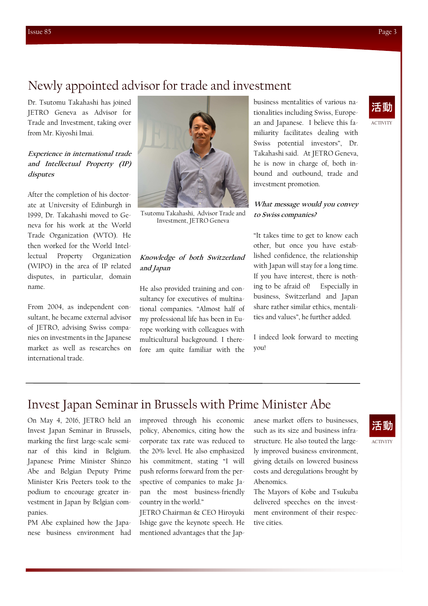### Newly appointed advisor for trade and investment

Dr. Tsutomu Takahashi has joined JETRO Geneva as Advisor for Trade and Investment, taking over from Mr. Kiyoshi Imai.

#### **Experience in international trade and Intellectual Property (IP) disputes**

After the completion of his doctorate at University of Edinburgh in 1999, Dr. Takahashi moved to Geneva for his work at the World Trade Organization (WTO). He then worked for the World Intellectual Property Organization (WIPO) in the area of IP related disputes, in particular, domain name.

From 2004, as independent consultant, he became external advisor of JETRO, advising Swiss companies on investments in the Japanese market as well as researches on international trade.



Tsutomu Takahashi, Advisor Trade and Investment, JETRO Geneva

### **Knowledge of both Switzerland and Japan**

He also provided training and consultancy for executives of multinational companies. "Almost half of my professional life has been in Europe working with colleagues with multicultural background. I therefore am quite familiar with the

business mentalities of various nationalities including Swiss, European and Japanese. I believe this familiarity facilitates dealing with Swiss potential investors", Dr. Takahashi said. At JETRO Geneva, he is now in charge of, both inbound and outbound, trade and investment promotion.

#### **What message would you convey to Swiss companies?**

"It takes time to get to know each other, but once you have established confidence, the relationship with Japan will stay for a long time. If you have interest, there is nothing to be afraid of! Especially in business, Switzerland and Japan share rather similar ethics, mentalities and values", he further added.

I indeed look forward to meeting you!

# Invest Japan Seminar in Brussels with Prime Minister Abe

On May 4, 2016, JETRO held an Invest Japan Seminar in Brussels, marking the first large-scale seminar of this kind in Belgium. Japanese Prime Minister Shinzo Abe and Belgian Deputy Prime Minister Kris Peeters took to the podium to encourage greater investment in Japan by Belgian companies.

PM Abe explained how the Japanese business environment had

improved through his economic policy, Abenomics, citing how the corporate tax rate was reduced to the 20% level. He also emphasized his commitment, stating "I will push reforms forward from the perspective of companies to make Japan the most business-friendly country in the world."

JETRO Chairman & CEO Hiroyuki Ishige gave the keynote speech. He mentioned advantages that the Jap-

anese market offers to businesses, such as its size and business infrastructure. He also touted the largely improved business environment, giving details on lowered business costs and deregulations brought by Abenomics.

The Mayors of Kobe and Tsukuba delivered speeches on the investment environment of their respective cities.